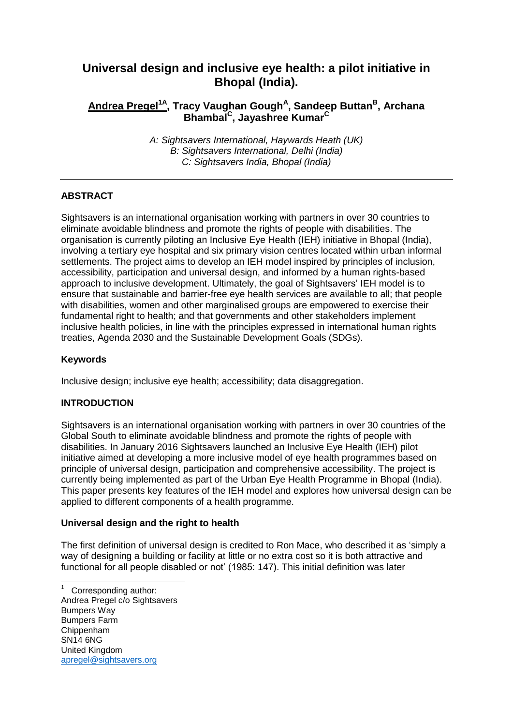# **Universal design and inclusive eye health: a pilot initiative in Bhopal (India).**

# **Andrea Pregel1A , Tracy Vaughan Gough<sup>A</sup> , Sandeep Buttan<sup>B</sup> , Archana Bhambal<sup>C</sup> , Jayashree Kumar<sup>C</sup>**

*A: Sightsavers International, Haywards Heath (UK) B: Sightsavers International, Delhi (India) C: Sightsavers India, Bhopal (India)*

# **ABSTRACT**

Sightsavers is an international organisation working with partners in over 30 countries to eliminate avoidable blindness and promote the rights of people with disabilities. The organisation is currently piloting an Inclusive Eye Health (IEH) initiative in Bhopal (India), involving a tertiary eye hospital and six primary vision centres located within urban informal settlements. The project aims to develop an IEH model inspired by principles of inclusion, accessibility, participation and universal design, and informed by a human rights-based approach to inclusive development. Ultimately, the goal of Sightsavers' IEH model is to ensure that sustainable and barrier-free eye health services are available to all; that people with disabilities, women and other marginalised groups are empowered to exercise their fundamental right to health; and that governments and other stakeholders implement inclusive health policies, in line with the principles expressed in international human rights treaties, Agenda 2030 and the Sustainable Development Goals (SDGs).

## **Keywords**

Inclusive design; inclusive eye health; accessibility; data disaggregation.

## **INTRODUCTION**

Sightsavers is an international organisation working with partners in over 30 countries of the Global South to eliminate avoidable blindness and promote the rights of people with disabilities. In January 2016 Sightsavers launched an Inclusive Eye Health (IEH) pilot initiative aimed at developing a more inclusive model of eye health programmes based on principle of universal design, participation and comprehensive accessibility. The project is currently being implemented as part of the Urban Eye Health Programme in Bhopal (India). This paper presents key features of the IEH model and explores how universal design can be applied to different components of a health programme.

## **Universal design and the right to health**

The first definition of universal design is credited to Ron Mace, who described it as 'simply a way of designing a building or facility at little or no extra cost so it is both attractive and functional for all people disabled or not' (1985: 147). This initial definition was later

l

<sup>1</sup> Corresponding author: Andrea Pregel c/o Sightsavers Bumpers Way Bumpers Farm Chippenham SN14 6NG United Kingdom [apregel@sightsavers.org](mailto:apregel@sightsavers.org)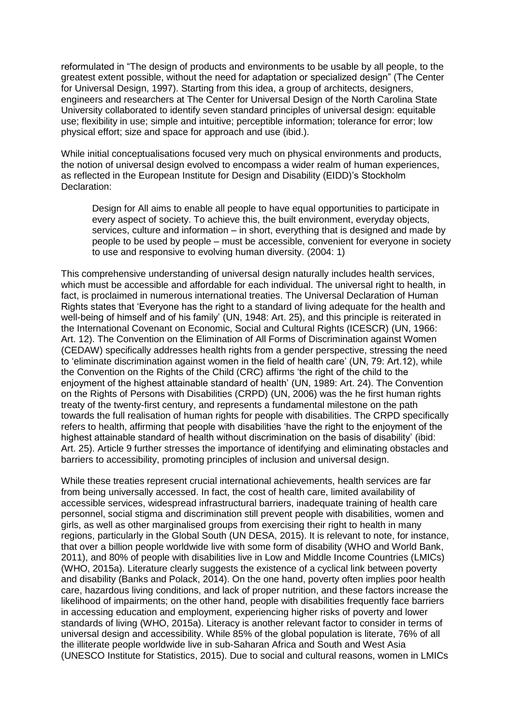reformulated in "The design of products and environments to be usable by all people, to the greatest extent possible, without the need for adaptation or specialized design" (The Center for Universal Design, 1997). Starting from this idea, a group of architects, designers, engineers and researchers at The Center for Universal Design of the North Carolina State University collaborated to identify seven standard principles of universal design: equitable use; flexibility in use; simple and intuitive; perceptible information; tolerance for error; low physical effort; size and space for approach and use (ibid.).

While initial conceptualisations focused very much on physical environments and products, the notion of universal design evolved to encompass a wider realm of human experiences, as reflected in the European Institute for Design and Disability (EIDD)'s Stockholm Declaration:

Design for All aims to enable all people to have equal opportunities to participate in every aspect of society. To achieve this, the built environment, everyday objects, services, culture and information – in short, everything that is designed and made by people to be used by people – must be accessible, convenient for everyone in society to use and responsive to evolving human diversity. (2004: 1)

This comprehensive understanding of universal design naturally includes health services, which must be accessible and affordable for each individual. The universal right to health, in fact, is proclaimed in numerous international treaties. The Universal Declaration of Human Rights states that 'Everyone has the right to a standard of living adequate for the health and well-being of himself and of his family' (UN, 1948: Art. 25), and this principle is reiterated in the International Covenant on [Economic, Social and Cultural Rights \(ICESCR\)](http://www.ohchr.org/EN/ProfessionalInterest/Pages/CESCR.aspx) (UN, 1966: Art. 12). The [Convention on the Elimination of All Forms of Discrimination against Women](http://www.un.org/womenwatch/daw/cedaw/text/econvention.htm)  [\(CEDAW\)](http://www.un.org/womenwatch/daw/cedaw/text/econvention.htm) specifically addresses health rights from a gender perspective, stressing the need to 'eliminate discrimination against women in the field of health care' (UN, 79: Art.12), while the [Convention on the Rights of the Child \(CRC\)](http://www.ohchr.org/en/professionalinterest/pages/crc.aspx) affirms 'the right of the child to the enjoyment of the highest attainable standard of health' (UN, 1989: Art. 24). The [Convention](http://www.un.org/disabilities/convention/conventionfull.shtml)  [on the Rights of Persons](http://www.un.org/disabilities/convention/conventionfull.shtml) with Disabilities (CRPD) (UN, 2006) was the he first human rights treaty of the twenty-first century, and represents a fundamental milestone on the path towards the full realisation of human rights for people with disabilities. The CRPD specifically refers to health, affirming that people with disabilities 'have the right to the enjoyment of the highest attainable standard of health without discrimination on the basis of disability' (ibid: Art. 25). Article 9 further stresses the importance of identifying and eliminating obstacles and barriers to accessibility, promoting principles of inclusion and universal design.

While these treaties represent crucial international achievements, health services are far from being universally accessed. In fact, the cost of health care, limited availability of accessible services, widespread infrastructural barriers, inadequate training of health care personnel, social stigma and discrimination still prevent people with disabilities, women and girls, as well as other marginalised groups from exercising their right to health in many regions, particularly in the Global South (UN DESA, 2015). It is relevant to note, for instance, that over a billion people worldwide live with some form of disability (WHO and World Bank, 2011), and 80% of people with disabilities live in Low and Middle Income Countries (LMICs) (WHO, 2015a). Literature clearly suggests the existence of a cyclical link between poverty and disability (Banks and Polack, 2014). On the one hand, poverty often implies poor health care, hazardous living conditions, and lack of proper nutrition, and these factors increase the likelihood of impairments; on the other hand, people with disabilities frequently face barriers in accessing education and employment, experiencing higher risks of poverty and lower standards of living (WHO, 2015a). Literacy is another relevant factor to consider in terms of universal design and accessibility. While 85% of the global population is literate, 76% of all the illiterate people worldwide live in sub-Saharan Africa and South and West Asia (UNESCO Institute for Statistics, 2015). Due to social and cultural reasons, women in LMICs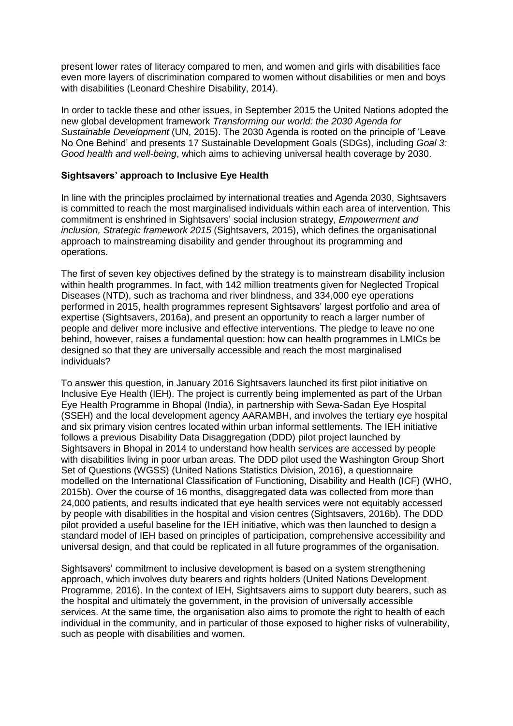present lower rates of literacy compared to men, and women and girls with disabilities face even more layers of discrimination compared to women without disabilities or men and boys with disabilities (Leonard Cheshire Disability, 2014).

In order to tackle these and other issues, in September 2015 the United Nations adopted the new global development framework *[Transforming our world: the 2030 Agenda for](https://sustainabledevelopment.un.org/post2015/transformingourworld)  [Sustainable Development](https://sustainabledevelopment.un.org/post2015/transformingourworld)* (UN, 2015). The 2030 Agenda is rooted on the principle of 'Leave No One Behind' and presents 17 [Sustainable Development Goals \(SDGs\)](https://sustainabledevelopment.un.org/sdgs), including *Goal 3: Good health and well-being*, which aims to achieving universal health coverage by 2030.

### **Sightsavers' approach to Inclusive Eye Health**

In line with the principles proclaimed by international treaties and Agenda 2030, Sightsavers is committed to reach the most marginalised individuals within each area of intervention. This commitment is enshrined in Sightsavers' social inclusion strategy, *Empowerment and inclusion, Strategic framework 2015* (Sightsavers, 2015), which defines the organisational approach to mainstreaming disability and gender throughout its programming and operations.

The first of seven key objectives defined by the strategy is to mainstream disability inclusion within health programmes. In fact, with 142 million treatments given for Neglected Tropical Diseases (NTD), such as trachoma and river blindness, and 334,000 eye operations performed in 2015, health programmes represent Sightsavers' largest portfolio and area of expertise (Sightsavers, 2016a), and present an opportunity to reach a larger number of people and deliver more inclusive and effective interventions. The pledge to leave no one behind, however, raises a fundamental question: how can health programmes in LMICs be designed so that they are universally accessible and reach the most marginalised individuals?

To answer this question, in January 2016 Sightsavers launched its first pilot initiative on Inclusive Eye Health (IEH). The project is currently being implemented as part of the Urban Eye Health Programme in Bhopal (India), in partnership with Sewa-Sadan Eye Hospital (SSEH) and the local development agency AARAMBH, and involves the tertiary eye hospital and six primary vision centres located within urban informal settlements. The IEH initiative follows a previous Disability Data Disaggregation (DDD) pilot project launched by Sightsavers in Bhopal in 2014 to understand how health services are accessed by people with disabilities living in poor urban areas. The DDD pilot used the Washington Group Short Set of Questions (WGSS) (United Nations Statistics Division, 2016), a questionnaire modelled on the International Classification of Functioning, Disability and Health (ICF) (WHO, 2015b). Over the course of 16 months, disaggregated data was collected from more than 24,000 patients, and results indicated that eye health services were not equitably accessed by people with disabilities in the hospital and vision centres (Sightsavers, 2016b). The DDD pilot provided a useful baseline for the IEH initiative, which was then launched to design a standard model of IEH based on principles of participation, comprehensive accessibility and universal design, and that could be replicated in all future programmes of the organisation.

Sightsavers' commitment to inclusive development is based on a system strengthening approach, which involves duty bearers and rights holders (United Nations Development Programme, 2016). In the context of IEH, Sightsavers aims to support duty bearers, such as the hospital and ultimately the government, in the provision of universally accessible services. At the same time, the organisation also aims to promote the right to health of each individual in the community, and in particular of those exposed to higher risks of vulnerability, such as people with disabilities and women.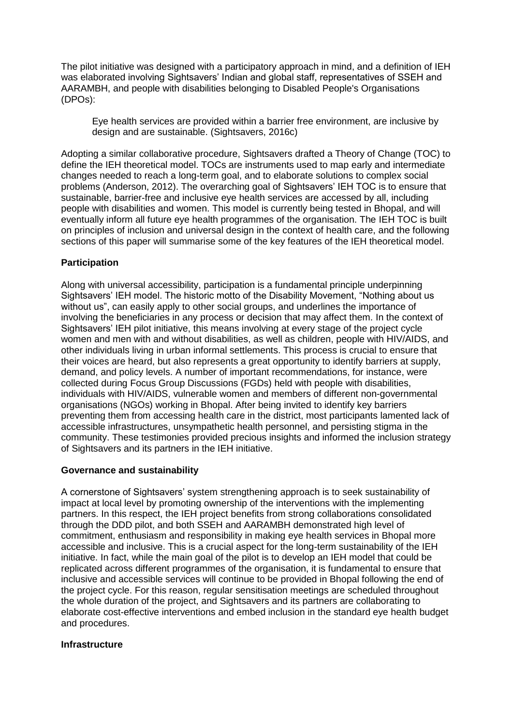The pilot initiative was designed with a participatory approach in mind, and a definition of IEH was elaborated involving Sightsavers' Indian and global staff, representatives of SSEH and AARAMBH, and people with disabilities belonging to Disabled People's Organisations (DPOs):

Eye health services are provided within a barrier free environment, are inclusive by design and are sustainable. (Sightsavers, 2016c)

Adopting a similar collaborative procedure, Sightsavers drafted a Theory of Change (TOC) to define the IEH theoretical model. TOCs are instruments used to map early and intermediate changes needed to reach a long-term goal, and to elaborate solutions to complex social problems (Anderson, 2012). The overarching goal of Sightsavers' IEH TOC is to ensure that sustainable, barrier-free and inclusive eye health services are accessed by all, including people with disabilities and women. This model is currently being tested in Bhopal, and will eventually inform all future eye health programmes of the organisation. The IEH TOC is built on principles of inclusion and universal design in the context of health care, and the following sections of this paper will summarise some of the key features of the IEH theoretical model.

### **Participation**

Along with universal accessibility, participation is a fundamental principle underpinning Sightsavers' IEH model. The historic motto of the Disability Movement, "Nothing about us without us", can easily apply to other social groups, and underlines the importance of involving the beneficiaries in any process or decision that may affect them. In the context of Sightsavers' IEH pilot initiative, this means involving at every stage of the project cycle women and men with and without disabilities, as well as children, people with HIV/AIDS, and other individuals living in urban informal settlements. This process is crucial to ensure that their voices are heard, but also represents a great opportunity to identify barriers at supply, demand, and policy levels. A number of important recommendations, for instance, were collected during Focus Group Discussions (FGDs) held with people with disabilities, individuals with HIV/AIDS, vulnerable women and members of different non-governmental organisations (NGOs) working in Bhopal. After being invited to identify key barriers preventing them from accessing health care in the district, most participants lamented lack of accessible infrastructures, unsympathetic health personnel, and persisting stigma in the community. These testimonies provided precious insights and informed the inclusion strategy of Sightsavers and its partners in the IEH initiative.

### **Governance and sustainability**

A cornerstone of Sightsavers' system strengthening approach is to seek sustainability of impact at local level by promoting ownership of the interventions with the implementing partners. In this respect, the IEH project benefits from strong collaborations consolidated through the DDD pilot, and both SSEH and AARAMBH demonstrated high level of commitment, enthusiasm and responsibility in making eye health services in Bhopal more accessible and inclusive. This is a crucial aspect for the long-term sustainability of the IEH initiative. In fact, while the main goal of the pilot is to develop an IEH model that could be replicated across different programmes of the organisation, it is fundamental to ensure that inclusive and accessible services will continue to be provided in Bhopal following the end of the project cycle. For this reason, regular sensitisation meetings are scheduled throughout the whole duration of the project, and Sightsavers and its partners are collaborating to elaborate cost-effective interventions and embed inclusion in the standard eye health budget and procedures.

#### **Infrastructure**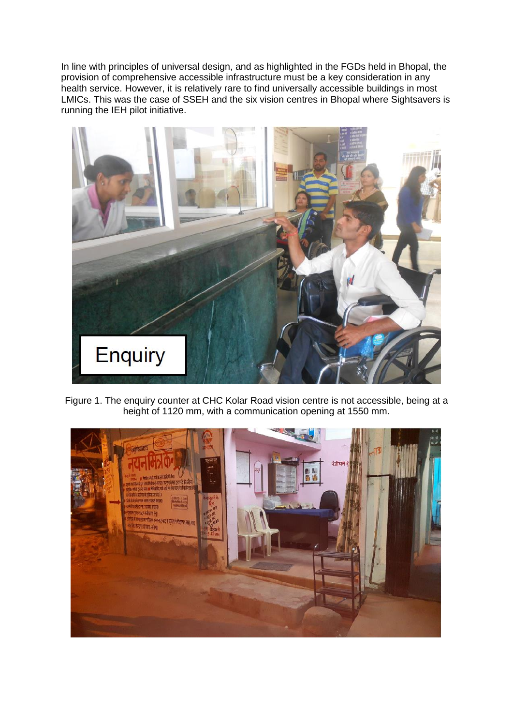In line with principles of universal design, and as highlighted in the FGDs held in Bhopal, the provision of comprehensive accessible infrastructure must be a key consideration in any health service. However, it is relatively rare to find universally accessible buildings in most LMICs. This was the case of SSEH and the six vision centres in Bhopal where Sightsavers is running the IEH pilot initiative.



Figure 1. The enquiry counter at CHC Kolar Road vision centre is not accessible, being at a height of 1120 mm, with a communication opening at 1550 mm.

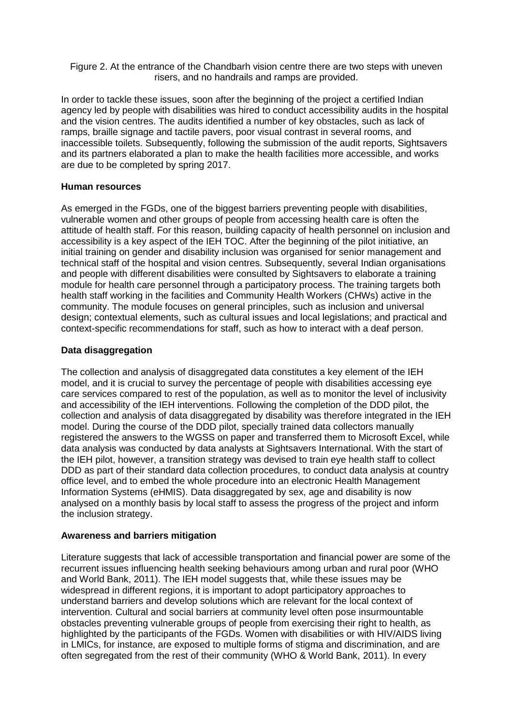Figure 2. At the entrance of the Chandbarh vision centre there are two steps with uneven risers, and no handrails and ramps are provided.

In order to tackle these issues, soon after the beginning of the project a certified Indian agency led by people with disabilities was hired to conduct accessibility audits in the hospital and the vision centres. The audits identified a number of key obstacles, such as lack of ramps, braille signage and tactile pavers, poor visual contrast in several rooms, and inaccessible toilets. Subsequently, following the submission of the audit reports, Sightsavers and its partners elaborated a plan to make the health facilities more accessible, and works are due to be completed by spring 2017.

#### **Human resources**

As emerged in the FGDs, one of the biggest barriers preventing people with disabilities, vulnerable women and other groups of people from accessing health care is often the attitude of health staff. For this reason, building capacity of health personnel on inclusion and accessibility is a key aspect of the IEH TOC. After the beginning of the pilot initiative, an initial training on gender and disability inclusion was organised for senior management and technical staff of the hospital and vision centres. Subsequently, several Indian organisations and people with different disabilities were consulted by Sightsavers to elaborate a training module for health care personnel through a participatory process. The training targets both health staff working in the facilities and Community Health Workers (CHWs) active in the community. The module focuses on general principles, such as inclusion and universal design; contextual elements, such as cultural issues and local legislations; and practical and context-specific recommendations for staff, such as how to interact with a deaf person.

### **Data disaggregation**

The collection and analysis of disaggregated data constitutes a key element of the IEH model, and it is crucial to survey the percentage of people with disabilities accessing eye care services compared to rest of the population, as well as to monitor the level of inclusivity and accessibility of the IEH interventions. Following the completion of the DDD pilot, the collection and analysis of data disaggregated by disability was therefore integrated in the IEH model. During the course of the DDD pilot, specially trained data collectors manually registered the answers to the WGSS on paper and transferred them to Microsoft Excel, while data analysis was conducted by data analysts at Sightsavers International. With the start of the IEH pilot, however, a transition strategy was devised to train eye health staff to collect DDD as part of their standard data collection procedures, to conduct data analysis at country office level, and to embed the whole procedure into an electronic Health Management Information Systems (eHMIS). Data disaggregated by sex, age and disability is now analysed on a monthly basis by local staff to assess the progress of the project and inform the inclusion strategy.

#### **Awareness and barriers mitigation**

Literature suggests that lack of accessible transportation and financial power are some of the recurrent issues influencing health seeking behaviours among urban and rural poor (WHO and World Bank, 2011). The IEH model suggests that, while these issues may be widespread in different regions, it is important to adopt participatory approaches to understand barriers and develop solutions which are relevant for the local context of intervention. Cultural and social barriers at community level often pose insurmountable obstacles preventing vulnerable groups of people from exercising their right to health, as highlighted by the participants of the FGDs. Women with disabilities or with HIV/AIDS living in LMICs, for instance, are exposed to multiple forms of stigma and discrimination, and are often segregated from the rest of their community (WHO & World Bank, 2011). In every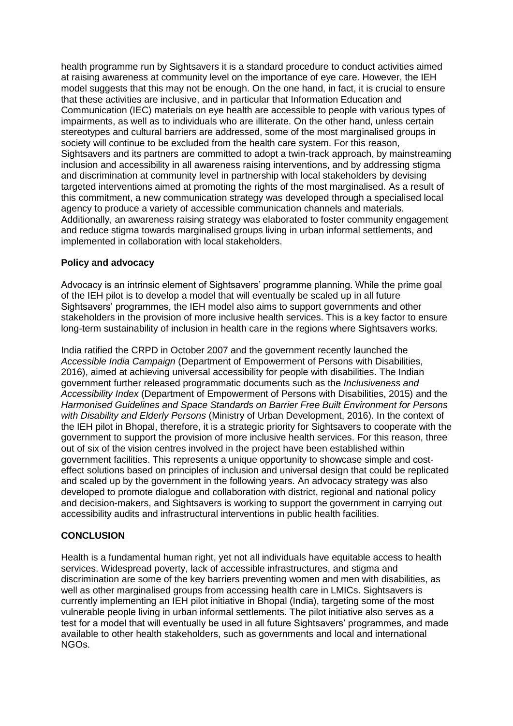health programme run by Sightsavers it is a standard procedure to conduct activities aimed at raising awareness at community level on the importance of eye care. However, the IEH model suggests that this may not be enough. On the one hand, in fact, it is crucial to ensure that these activities are inclusive, and in particular that Information Education and Communication (IEC) materials on eye health are accessible to people with various types of impairments, as well as to individuals who are illiterate. On the other hand, unless certain stereotypes and cultural barriers are addressed, some of the most marginalised groups in society will continue to be excluded from the health care system. For this reason, Sightsavers and its partners are committed to adopt a twin-track approach, by mainstreaming inclusion and accessibility in all awareness raising interventions, and by addressing stigma and discrimination at community level in partnership with local stakeholders by devising targeted interventions aimed at promoting the rights of the most marginalised. As a result of this commitment, a new communication strategy was developed through a specialised local agency to produce a variety of accessible communication channels and materials. Additionally, an awareness raising strategy was elaborated to foster community engagement and reduce stigma towards marginalised groups living in urban informal settlements, and implemented in collaboration with local stakeholders.

### **Policy and advocacy**

Advocacy is an intrinsic element of Sightsavers' programme planning. While the prime goal of the IEH pilot is to develop a model that will eventually be scaled up in all future Sightsavers' programmes, the IEH model also aims to support governments and other stakeholders in the provision of more inclusive health services. This is a key factor to ensure long-term sustainability of inclusion in health care in the regions where Sightsavers works.

India ratified the CRPD in October 2007 and the government recently launched the *Accessible India Campaign* (Department of Empowerment of Persons with Disabilities, 2016), aimed at achieving universal accessibility for people with disabilities. The Indian government further released programmatic documents such as the *Inclusiveness and Accessibility Index* (Department of Empowerment of Persons with Disabilities, 2015) and the *Harmonised Guidelines and Space Standards on Barrier Free Built Environment for Persons with Disability and Elderly Persons* (Ministry of Urban Development, 2016). In the context of the IEH pilot in Bhopal, therefore, it is a strategic priority for Sightsavers to cooperate with the government to support the provision of more inclusive health services. For this reason, three out of six of the vision centres involved in the project have been established within government facilities. This represents a unique opportunity to showcase simple and costeffect solutions based on principles of inclusion and universal design that could be replicated and scaled up by the government in the following years. An advocacy strategy was also developed to promote dialogue and collaboration with district, regional and national policy and decision-makers, and Sightsavers is working to support the government in carrying out accessibility audits and infrastructural interventions in public health facilities.

### **CONCLUSION**

Health is a fundamental human right, yet not all individuals have equitable access to health services. Widespread poverty, lack of accessible infrastructures, and stigma and discrimination are some of the key barriers preventing women and men with disabilities, as well as other marginalised groups from accessing health care in LMICs. Sightsavers is currently implementing an IEH pilot initiative in Bhopal (India), targeting some of the most vulnerable people living in urban informal settlements. The pilot initiative also serves as a test for a model that will eventually be used in all future Sightsavers' programmes, and made available to other health stakeholders, such as governments and local and international NGOs.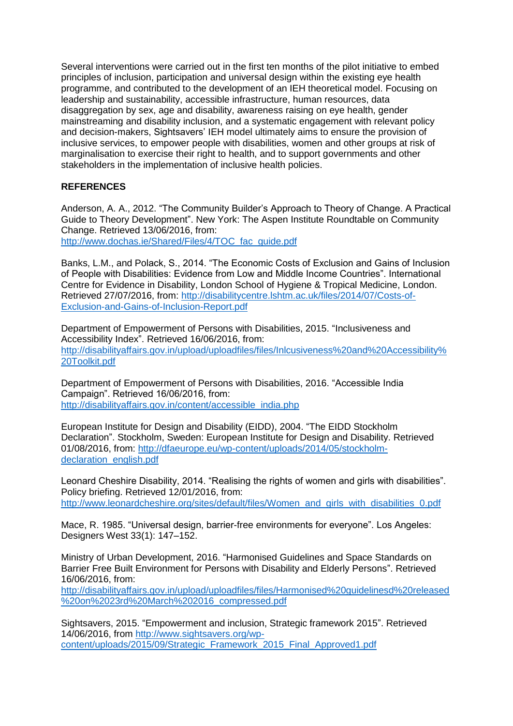Several interventions were carried out in the first ten months of the pilot initiative to embed principles of inclusion, participation and universal design within the existing eye health programme, and contributed to the development of an IEH theoretical model. Focusing on leadership and sustainability, accessible infrastructure, human resources, data disaggregation by sex, age and disability, awareness raising on eye health, gender mainstreaming and disability inclusion, and a systematic engagement with relevant policy and decision-makers, Sightsavers' IEH model ultimately aims to ensure the provision of inclusive services, to empower people with disabilities, women and other groups at risk of marginalisation to exercise their right to health, and to support governments and other stakeholders in the implementation of inclusive health policies.

## **REFERENCES**

Anderson, A. A., 2012. "The Community Builder's Approach to Theory of Change. A Practical Guide to Theory Development". New York: The Aspen Institute Roundtable on Community Change. Retrieved 13/06/2016, from: [http://www.dochas.ie/Shared/Files/4/TOC\\_fac\\_guide.pdf](http://www.dochas.ie/Shared/Files/4/TOC_fac_guide.pdf)

Banks, L.M., and Polack, S., 2014. "The Economic Costs of Exclusion and Gains of Inclusion of People with Disabilities: Evidence from Low and Middle Income Countries". International Centre for Evidence in Disability, London School of Hygiene & Tropical Medicine, London. Retrieved 27/07/2016, from: [http://disabilitycentre.lshtm.ac.uk/files/2014/07/Costs-of-](http://disabilitycentre.lshtm.ac.uk/files/2014/07/Costs-of-Exclusion-and-Gains-of-Inclusion-Report.pdf)[Exclusion-and-Gains-of-Inclusion-Report.pdf](http://disabilitycentre.lshtm.ac.uk/files/2014/07/Costs-of-Exclusion-and-Gains-of-Inclusion-Report.pdf)

Department of Empowerment of Persons with Disabilities, 2015. "Inclusiveness and Accessibility Index". Retrieved 16/06/2016, from: [http://disabilityaffairs.gov.in/upload/uploadfiles/files/Inlcusiveness%20and%20Accessibility%](http://disabilityaffairs.gov.in/upload/uploadfiles/files/Inlcusiveness%20and%20Accessibility%20Toolkit.pdf) [20Toolkit.pdf](http://disabilityaffairs.gov.in/upload/uploadfiles/files/Inlcusiveness%20and%20Accessibility%20Toolkit.pdf)

Department of Empowerment of Persons with Disabilities, 2016. "Accessible India Campaign". Retrieved 16/06/2016, from: [http://disabilityaffairs.gov.in/content/accessible\\_india.php](http://disabilityaffairs.gov.in/content/accessible_india.php)

European Institute for Design and Disability (EIDD), 2004. "The EIDD Stockholm Declaration". Stockholm, Sweden: European Institute for Design and Disability. Retrieved 01/08/2016, from: [http://dfaeurope.eu/wp-content/uploads/2014/05/stockholm](http://dfaeurope.eu/wp-content/uploads/2014/05/stockholm-declaration_english.pdf)[declaration\\_english.pdf](http://dfaeurope.eu/wp-content/uploads/2014/05/stockholm-declaration_english.pdf)

Leonard Cheshire Disability, 2014. "Realising the rights of women and girls with disabilities". Policy briefing. Retrieved 12/01/2016, from: [http://www.leonardcheshire.org/sites/default/files/Women\\_and\\_girls\\_with\\_disabilities\\_0.pdf](http://www.leonardcheshire.org/sites/default/files/Women_and_girls_with_disabilities_0.pdf)

Mace, R. 1985. "Universal design, barrier-free environments for everyone". Los Angeles: Designers West 33(1): 147–152.

Ministry of Urban Development, 2016. "Harmonised Guidelines and Space Standards on Barrier Free Built Environment for Persons with Disability and Elderly Persons". Retrieved 16/06/2016, from:

[http://disabilityaffairs.gov.in/upload/uploadfiles/files/Harmonised%20guidelinesd%20released](http://disabilityaffairs.gov.in/upload/uploadfiles/files/Harmonised%20guidelinesd%20released%20on%2023rd%20March%202016_compressed.pdf) [%20on%2023rd%20March%202016\\_compressed.pdf](http://disabilityaffairs.gov.in/upload/uploadfiles/files/Harmonised%20guidelinesd%20released%20on%2023rd%20March%202016_compressed.pdf)

Sightsavers, 2015. "Empowerment and inclusion, Strategic framework 2015". Retrieved 14/06/2016, from [http://www.sightsavers.org/wp](http://www.sightsavers.org/wp-content/uploads/2015/09/Strategic_Framework_2015_Final_Approved1.pdf)[content/uploads/2015/09/Strategic\\_Framework\\_2015\\_Final\\_Approved1.pdf](http://www.sightsavers.org/wp-content/uploads/2015/09/Strategic_Framework_2015_Final_Approved1.pdf)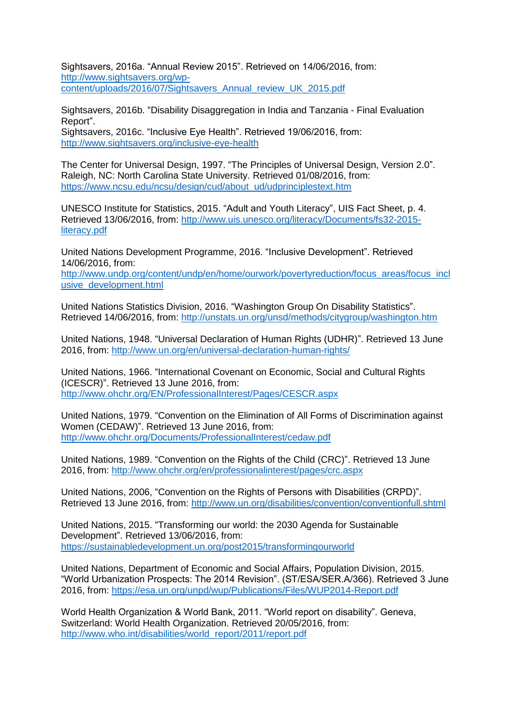Sightsavers, 2016a. "Annual Review 2015". Retrieved on 14/06/2016, from: [http://www.sightsavers.org/wp](http://www.sightsavers.org/wp-content/uploads/2016/07/Sightsavers_Annual_review_UK_2015.pdf)[content/uploads/2016/07/Sightsavers\\_Annual\\_review\\_UK\\_2015.pdf](http://www.sightsavers.org/wp-content/uploads/2016/07/Sightsavers_Annual_review_UK_2015.pdf)

Sightsavers, 2016b. "Disability Disaggregation in India and Tanzania - Final Evaluation Report". Sightsavers, 2016c. "Inclusive Eye Health". Retrieved 19/06/2016, from: <http://www.sightsavers.org/inclusive-eye-health>

The Center for Universal Design, 1997. "The Principles of Universal Design, Version 2.0". Raleigh, NC: North Carolina State University. Retrieved 01/08/2016, from: [https://www.ncsu.edu/ncsu/design/cud/about\\_ud/udprinciplestext.htm](https://www.ncsu.edu/ncsu/design/cud/about_ud/udprinciplestext.htm)

UNESCO Institute for Statistics, 2015. "Adult and Youth Literacy", UIS Fact Sheet, p. 4. Retrieved 13/06/2016, from: [http://www.uis.unesco.org/literacy/Documents/fs32-2015](http://www.uis.unesco.org/literacy/Documents/fs32-2015-literacy.pdf) [literacy.pdf](http://www.uis.unesco.org/literacy/Documents/fs32-2015-literacy.pdf)

United Nations Development Programme, 2016. "Inclusive Development". Retrieved 14/06/2016, from:

[http://www.undp.org/content/undp/en/home/ourwork/povertyreduction/focus\\_areas/focus\\_incl](http://www.undp.org/content/undp/en/home/ourwork/povertyreduction/focus_areas/focus_inclusive_development.html) [usive\\_development.html](http://www.undp.org/content/undp/en/home/ourwork/povertyreduction/focus_areas/focus_inclusive_development.html)

United Nations Statistics Division, 2016. "Washington Group On Disability Statistics". Retrieved 14/06/2016, from:<http://unstats.un.org/unsd/methods/citygroup/washington.htm>

United Nations, 1948. "Universal Declaration of Human Rights (UDHR)". Retrieved 13 June 2016, from:<http://www.un.org/en/universal-declaration-human-rights/>

United Nations, 1966. "International Covenant on Economic, Social and Cultural Rights (ICESCR)". Retrieved 13 June 2016, from: <http://www.ohchr.org/EN/ProfessionalInterest/Pages/CESCR.aspx>

United Nations, 1979. "Convention on the Elimination of All Forms of Discrimination against Women (CEDAW)". Retrieved 13 June 2016, from: <http://www.ohchr.org/Documents/ProfessionalInterest/cedaw.pdf>

United Nations, 1989. "Convention on the Rights of the Child (CRC)". Retrieved 13 June 2016, from:<http://www.ohchr.org/en/professionalinterest/pages/crc.aspx>

United Nations, 2006, "Convention on the Rights of Persons with Disabilities (CRPD)". Retrieved 13 June 2016, from:<http://www.un.org/disabilities/convention/conventionfull.shtml>

United Nations, 2015. "Transforming our world: the 2030 Agenda for Sustainable Development". Retrieved 13/06/2016, from: <https://sustainabledevelopment.un.org/post2015/transformingourworld>

United Nations, Department of Economic and Social Affairs, Population Division, 2015. "World Urbanization Prospects: The 2014 Revision". (ST/ESA/SER.A/366). Retrieved 3 June 2016, from:<https://esa.un.org/unpd/wup/Publications/Files/WUP2014-Report.pdf>

World Health Organization & World Bank, 2011. "World report on disability". Geneva, Switzerland: World Health Organization. Retrieved 20/05/2016, from: [http://www.who.int/disabilities/world\\_report/2011/report.pdf](http://www.who.int/disabilities/world_report/2011/report.pdf)